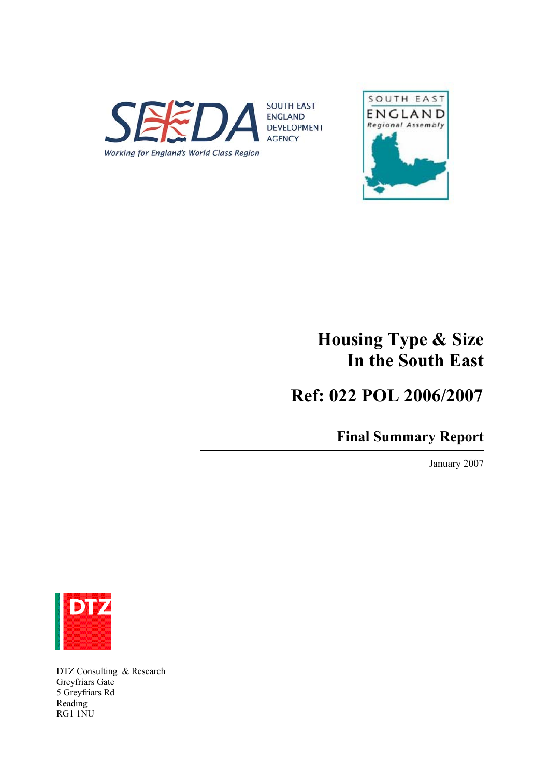



# **Housing Type & Size In the South East**

 **Ref: 022 POL 2006/2007**

**Final Summary Report**

January 2007



DTZ Consulting & Research Greyfriars Gate 5 Greyfriars Rd Reading RG1 1NU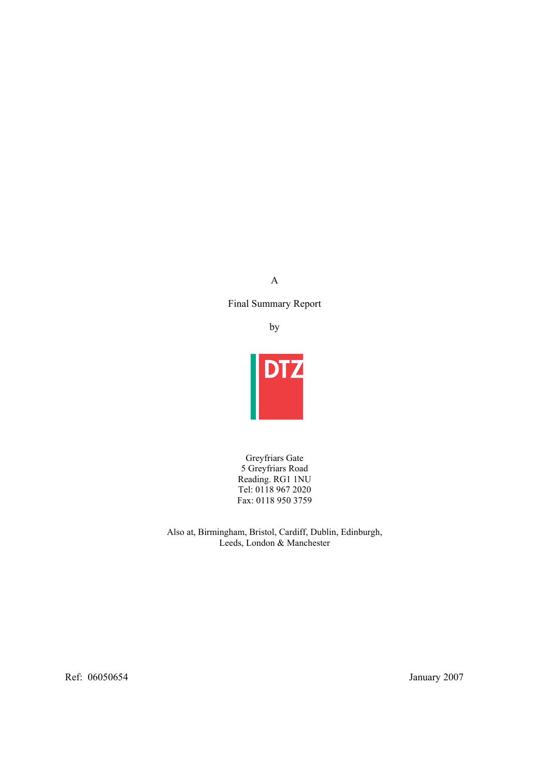A

Final Summary Report

by



Greyfriars Gate 5 Greyfriars Road Reading. RG1 1NU Tel: 0118 967 2020 Fax: 0118 950 3759

Also at, Birmingham, Bristol, Cardiff, Dublin, Edinburgh, Leeds, London & Manchester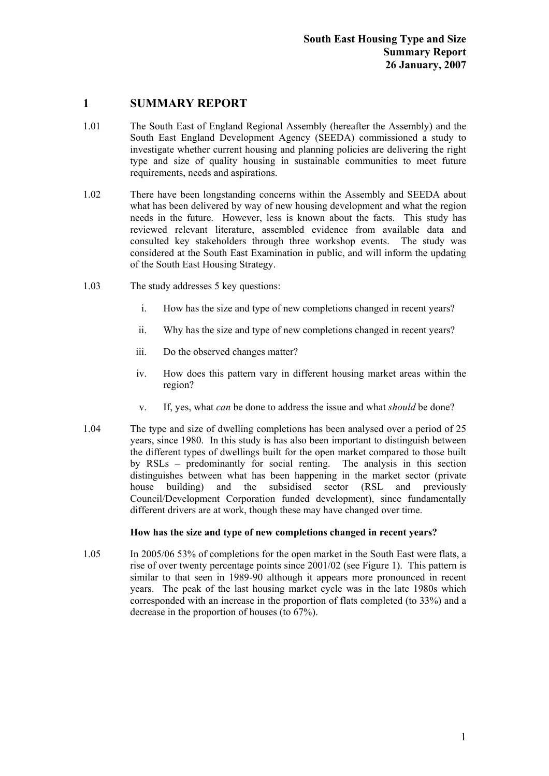# **1 SUMMARY REPORT**

- 1.01 The South East of England Regional Assembly (hereafter the Assembly) and the South East England Development Agency (SEEDA) commissioned a study to investigate whether current housing and planning policies are delivering the right type and size of quality housing in sustainable communities to meet future requirements, needs and aspirations.
- 1.02 There have been longstanding concerns within the Assembly and SEEDA about what has been delivered by way of new housing development and what the region needs in the future. However, less is known about the facts. This study has reviewed relevant literature, assembled evidence from available data and consulted key stakeholders through three workshop events. The study was considered at the South East Examination in public, and will inform the updating of the South East Housing Strategy.
- 1.03 The study addresses 5 key questions:
	- i. How has the size and type of new completions changed in recent years?
	- ii. Why has the size and type of new completions changed in recent years?
	- iii. Do the observed changes matter?
	- iv. How does this pattern vary in different housing market areas within the region?
	- v. If, yes, what *can* be done to address the issue and what *should* be done?
- 1.04 The type and size of dwelling completions has been analysed over a period of 25 years, since 1980. In this study is has also been important to distinguish between the different types of dwellings built for the open market compared to those built by RSLs – predominantly for social renting. The analysis in this section distinguishes between what has been happening in the market sector (private house building) and the subsidised sector (RSL and previously Council/Development Corporation funded development), since fundamentally different drivers are at work, though these may have changed over time.

# **How has the size and type of new completions changed in recent years?**

1.05 In 2005/06 53% of completions for the open market in the South East were flats, a rise of over twenty percentage points since 2001/02 (see Figure 1). This pattern is similar to that seen in 1989-90 although it appears more pronounced in recent years. The peak of the last housing market cycle was in the late 1980s which corresponded with an increase in the proportion of flats completed (to 33%) and a decrease in the proportion of houses (to 67%).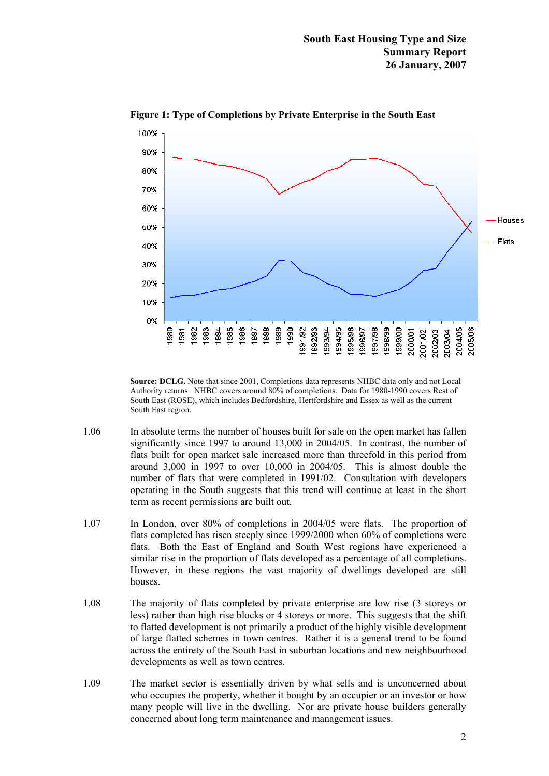

**Figure 1: Type of Completions by Private Enterprise in the South East** 

**Source: DCLG.** Note that since 2001, Completions data represents NHBC data only and not Local Authority returns. NHBC covers around 80% of completions. Data for 1980-1990 covers Rest of South East (ROSE), which includes Bedfordshire, Hertfordshire and Essex as well as the current South East region.

- 1.06 In absolute terms the number of houses built for sale on the open market has fallen significantly since 1997 to around 13,000 in 2004/05. In contrast, the number of flats built for open market sale increased more than threefold in this period from around 3,000 in 1997 to over 10,000 in 2004/05. This is almost double the number of flats that were completed in 1991/02. Consultation with developers operating in the South suggests that this trend will continue at least in the short term as recent permissions are built out.
- 1.07 In London, over 80% of completions in 2004/05 were flats. The proportion of flats completed has risen steeply since 1999/2000 when 60% of completions were flats. Both the East of England and South West regions have experienced a similar rise in the proportion of flats developed as a percentage of all completions. However, in these regions the vast majority of dwellings developed are still houses.
- 1.08 The majority of flats completed by private enterprise are low rise (3 storeys or less) rather than high rise blocks or 4 storeys or more. This suggests that the shift to flatted development is not primarily a product of the highly visible development of large flatted schemes in town centres. Rather it is a general trend to be found across the entirety of the South East in suburban locations and new neighbourhood developments as well as town centres.
- 1.09 The market sector is essentially driven by what sells and is unconcerned about who occupies the property, whether it bought by an occupier or an investor or how many people will live in the dwelling. Nor are private house builders generally concerned about long term maintenance and management issues.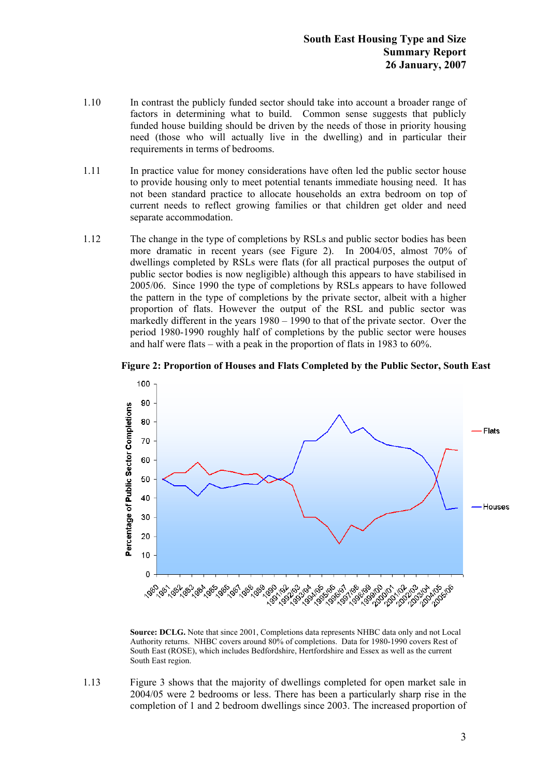- 1.10 In contrast the publicly funded sector should take into account a broader range of factors in determining what to build. Common sense suggests that publicly funded house building should be driven by the needs of those in priority housing need (those who will actually live in the dwelling) and in particular their requirements in terms of bedrooms.
- 1.11 In practice value for money considerations have often led the public sector house to provide housing only to meet potential tenants immediate housing need. It has not been standard practice to allocate households an extra bedroom on top of current needs to reflect growing families or that children get older and need separate accommodation.
- 1.12 The change in the type of completions by RSLs and public sector bodies has been more dramatic in recent years (see Figure 2). In 2004/05, almost 70% of dwellings completed by RSLs were flats (for all practical purposes the output of public sector bodies is now negligible) although this appears to have stabilised in 2005/06. Since 1990 the type of completions by RSLs appears to have followed the pattern in the type of completions by the private sector, albeit with a higher proportion of flats. However the output of the RSL and public sector was markedly different in the years 1980 – 1990 to that of the private sector. Over the period 1980-1990 roughly half of completions by the public sector were houses and half were flats – with a peak in the proportion of flats in 1983 to 60%.





**Source: DCLG.** Note that since 2001, Completions data represents NHBC data only and not Local Authority returns. NHBC covers around 80% of completions. Data for 1980-1990 covers Rest of South East (ROSE), which includes Bedfordshire, Hertfordshire and Essex as well as the current South East region.

1.13 Figure 3 shows that the majority of dwellings completed for open market sale in 2004/05 were 2 bedrooms or less. There has been a particularly sharp rise in the completion of 1 and 2 bedroom dwellings since 2003. The increased proportion of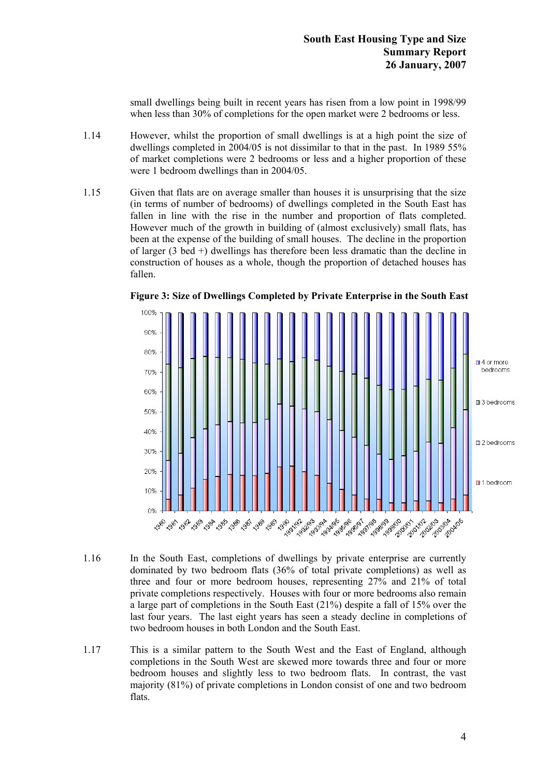small dwellings being built in recent years has risen from a low point in 1998/99 when less than 30% of completions for the open market were 2 bedrooms or less.

- 1.14 However, whilst the proportion of small dwellings is at a high point the size of dwellings completed in 2004/05 is not dissimilar to that in the past. In 1989 55% of market completions were 2 bedrooms or less and a higher proportion of these were 1 bedroom dwellings than in 2004/05.
- 1.15 Given that flats are on average smaller than houses it is unsurprising that the size (in terms of number of bedrooms) of dwellings completed in the South East has fallen in line with the rise in the number and proportion of flats completed. However much of the growth in building of (almost exclusively) small flats, has been at the expense of the building of small houses. The decline in the proportion of larger (3 bed +) dwellings has therefore been less dramatic than the decline in construction of houses as a whole, though the proportion of detached houses has fallen.



**Figure 3: Size of Dwellings Completed by Private Enterprise in the South East** 

- 1.16 In the South East, completions of dwellings by private enterprise are currently dominated by two bedroom flats (36% of total private completions) as well as three and four or more bedroom houses, representing 27% and 21% of total private completions respectively. Houses with four or more bedrooms also remain a large part of completions in the South East (21%) despite a fall of 15% over the last four years. The last eight years has seen a steady decline in completions of two bedroom houses in both London and the South East.
- 1.17 This is a similar pattern to the South West and the East of England, although completions in the South West are skewed more towards three and four or more bedroom houses and slightly less to two bedroom flats. In contrast, the vast majority (81%) of private completions in London consist of one and two bedroom flats.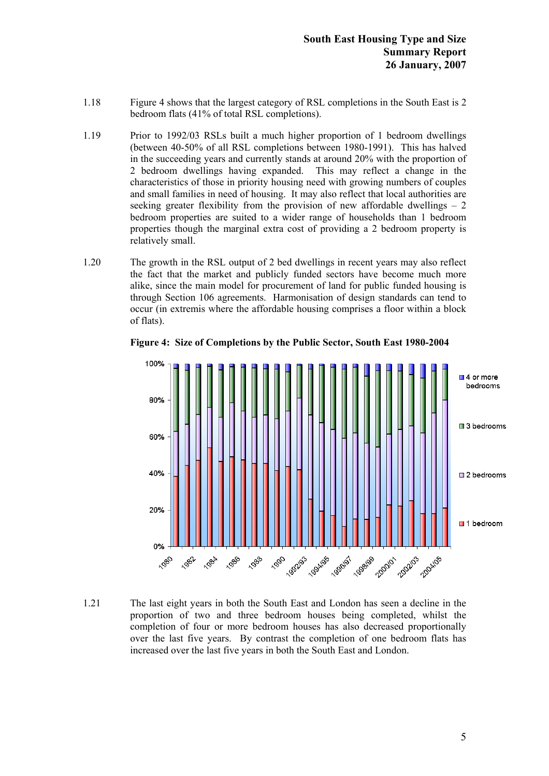- 1.18 Figure 4 shows that the largest category of RSL completions in the South East is 2 bedroom flats (41% of total RSL completions).
- 1.19 Prior to 1992/03 RSLs built a much higher proportion of 1 bedroom dwellings (between 40-50% of all RSL completions between 1980-1991). This has halved in the succeeding years and currently stands at around 20% with the proportion of 2 bedroom dwellings having expanded. This may reflect a change in the characteristics of those in priority housing need with growing numbers of couples and small families in need of housing. It may also reflect that local authorities are seeking greater flexibility from the provision of new affordable dwellings  $-2$ bedroom properties are suited to a wider range of households than 1 bedroom properties though the marginal extra cost of providing a 2 bedroom property is relatively small.
- 1.20 The growth in the RSL output of 2 bed dwellings in recent years may also reflect the fact that the market and publicly funded sectors have become much more alike, since the main model for procurement of land for public funded housing is through Section 106 agreements. Harmonisation of design standards can tend to occur (in extremis where the affordable housing comprises a floor within a block of flats).



**Figure 4: Size of Completions by the Public Sector, South East 1980-2004** 

1.21 The last eight years in both the South East and London has seen a decline in the proportion of two and three bedroom houses being completed, whilst the completion of four or more bedroom houses has also decreased proportionally over the last five years. By contrast the completion of one bedroom flats has increased over the last five years in both the South East and London.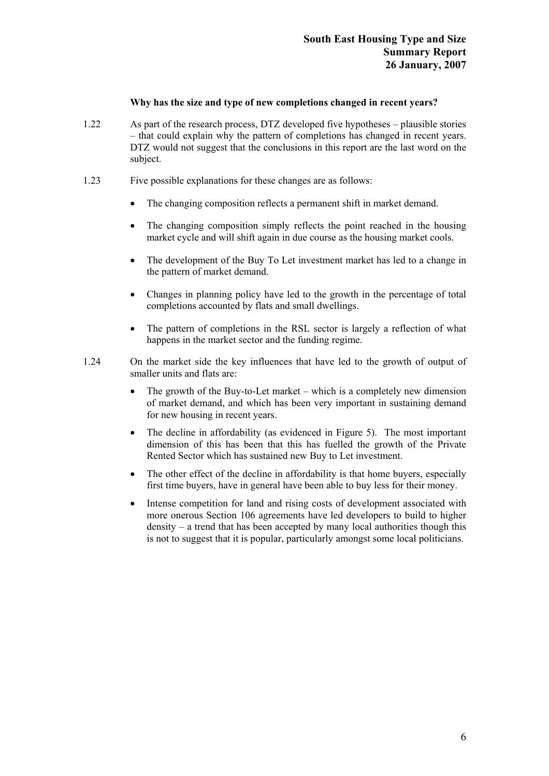# **Why has the size and type of new completions changed in recent years?**

- 1.22 As part of the research process, DTZ developed five hypotheses plausible stories – that could explain why the pattern of completions has changed in recent years. DTZ would not suggest that the conclusions in this report are the last word on the subject.
- 1.23 Five possible explanations for these changes are as follows:
	- The changing composition reflects a permanent shift in market demand.
	- The changing composition simply reflects the point reached in the housing market cycle and will shift again in due course as the housing market cools.
	- The development of the Buy To Let investment market has led to a change in the pattern of market demand.
	- Changes in planning policy have led to the growth in the percentage of total completions accounted by flats and small dwellings.
	- The pattern of completions in the RSL sector is largely a reflection of what happens in the market sector and the funding regime.
- 1.24 On the market side the key influences that have led to the growth of output of smaller units and flats are:
	- The growth of the Buy-to-Let market which is a completely new dimension of market demand, and which has been very important in sustaining demand for new housing in recent years.
	- The decline in affordability (as evidenced in Figure 5). The most important dimension of this has been that this has fuelled the growth of the Private Rented Sector which has sustained new Buy to Let investment.
	- The other effect of the decline in affordability is that home buyers, especially first time buyers, have in general have been able to buy less for their money.
	- Intense competition for land and rising costs of development associated with more onerous Section 106 agreements have led developers to build to higher density – a trend that has been accepted by many local authorities though this is not to suggest that it is popular, particularly amongst some local politicians.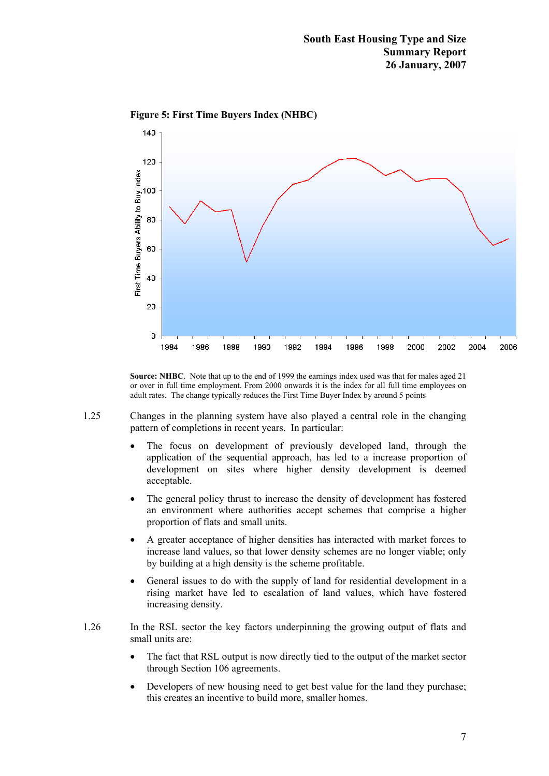

**Figure 5: First Time Buyers Index (NHBC)** 

**Source: NHBC**. Note that up to the end of 1999 the earnings index used was that for males aged 21 or over in full time employment. From 2000 onwards it is the index for all full time employees on adult rates. The change typically reduces the First Time Buyer Index by around 5 points

- 1.25 Changes in the planning system have also played a central role in the changing pattern of completions in recent years. In particular:
	- The focus on development of previously developed land, through the application of the sequential approach, has led to a increase proportion of development on sites where higher density development is deemed acceptable.
	- The general policy thrust to increase the density of development has fostered an environment where authorities accept schemes that comprise a higher proportion of flats and small units.
	- A greater acceptance of higher densities has interacted with market forces to increase land values, so that lower density schemes are no longer viable; only by building at a high density is the scheme profitable.
	- General issues to do with the supply of land for residential development in a rising market have led to escalation of land values, which have fostered increasing density.
- 1.26 In the RSL sector the key factors underpinning the growing output of flats and small units are:
	- The fact that RSL output is now directly tied to the output of the market sector through Section 106 agreements.
	- Developers of new housing need to get best value for the land they purchase; this creates an incentive to build more, smaller homes.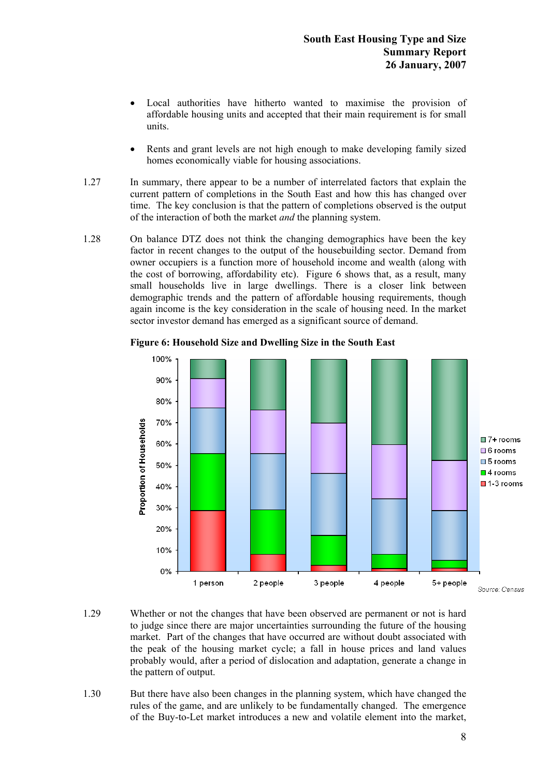- Local authorities have hitherto wanted to maximise the provision of affordable housing units and accepted that their main requirement is for small units.
- Rents and grant levels are not high enough to make developing family sized homes economically viable for housing associations.
- 1.27 In summary, there appear to be a number of interrelated factors that explain the current pattern of completions in the South East and how this has changed over time. The key conclusion is that the pattern of completions observed is the output of the interaction of both the market *and* the planning system.
- 1.28 On balance DTZ does not think the changing demographics have been the key factor in recent changes to the output of the housebuilding sector. Demand from owner occupiers is a function more of household income and wealth (along with the cost of borrowing, affordability etc). Figure 6 shows that, as a result, many small households live in large dwellings. There is a closer link between demographic trends and the pattern of affordable housing requirements, though again income is the key consideration in the scale of housing need. In the market sector investor demand has emerged as a significant source of demand.



**Figure 6: Household Size and Dwelling Size in the South East** 

- 1.29 Whether or not the changes that have been observed are permanent or not is hard to judge since there are major uncertainties surrounding the future of the housing market. Part of the changes that have occurred are without doubt associated with the peak of the housing market cycle; a fall in house prices and land values probably would, after a period of dislocation and adaptation, generate a change in the pattern of output.
- 1.30 But there have also been changes in the planning system, which have changed the rules of the game, and are unlikely to be fundamentally changed. The emergence of the Buy-to-Let market introduces a new and volatile element into the market,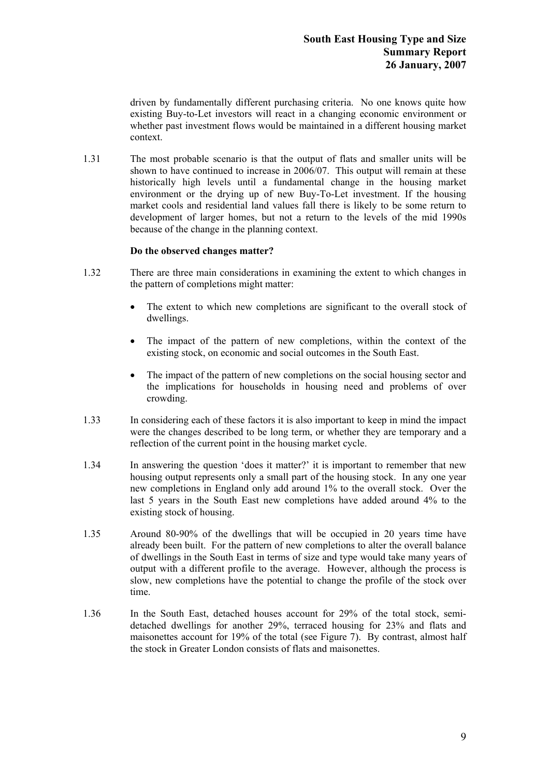driven by fundamentally different purchasing criteria. No one knows quite how existing Buy-to-Let investors will react in a changing economic environment or whether past investment flows would be maintained in a different housing market context.

1.31 The most probable scenario is that the output of flats and smaller units will be shown to have continued to increase in 2006/07. This output will remain at these historically high levels until a fundamental change in the housing market environment or the drying up of new Buy-To-Let investment. If the housing market cools and residential land values fall there is likely to be some return to development of larger homes, but not a return to the levels of the mid 1990s because of the change in the planning context.

# **Do the observed changes matter?**

- 1.32 There are three main considerations in examining the extent to which changes in the pattern of completions might matter:
	- The extent to which new completions are significant to the overall stock of dwellings.
	- The impact of the pattern of new completions, within the context of the existing stock, on economic and social outcomes in the South East.
	- The impact of the pattern of new completions on the social housing sector and the implications for households in housing need and problems of over crowding.
- 1.33 In considering each of these factors it is also important to keep in mind the impact were the changes described to be long term, or whether they are temporary and a reflection of the current point in the housing market cycle.
- 1.34 In answering the question 'does it matter?' it is important to remember that new housing output represents only a small part of the housing stock. In any one year new completions in England only add around 1% to the overall stock. Over the last 5 years in the South East new completions have added around 4% to the existing stock of housing.
- 1.35 Around 80-90% of the dwellings that will be occupied in 20 years time have already been built. For the pattern of new completions to alter the overall balance of dwellings in the South East in terms of size and type would take many years of output with a different profile to the average. However, although the process is slow, new completions have the potential to change the profile of the stock over time.
- 1.36 In the South East, detached houses account for 29% of the total stock, semidetached dwellings for another 29%, terraced housing for 23% and flats and maisonettes account for 19% of the total (see Figure 7). By contrast, almost half the stock in Greater London consists of flats and maisonettes.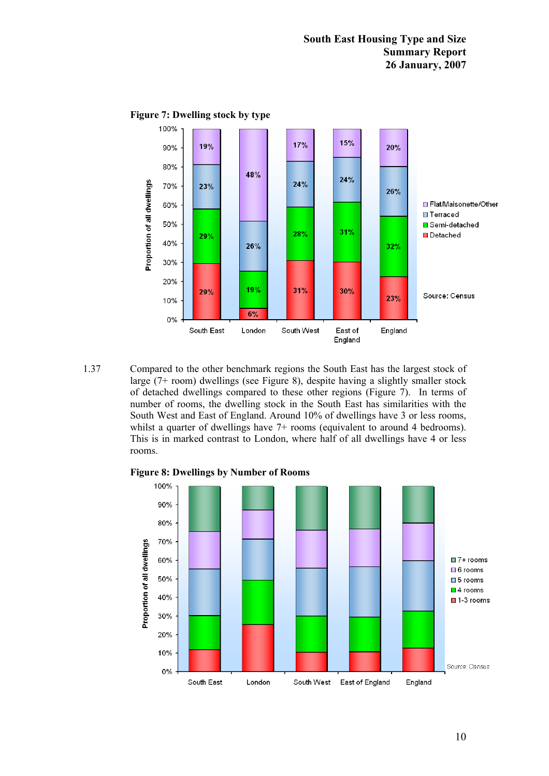

**Figure 7: Dwelling stock by type** 

1.37 Compared to the other benchmark regions the South East has the largest stock of large (7+ room) dwellings (see Figure 8), despite having a slightly smaller stock of detached dwellings compared to these other regions (Figure 7). In terms of number of rooms, the dwelling stock in the South East has similarities with the South West and East of England. Around 10% of dwellings have 3 or less rooms, whilst a quarter of dwellings have 7+ rooms (equivalent to around 4 bedrooms). This is in marked contrast to London, where half of all dwellings have 4 or less rooms.



**Figure 8: Dwellings by Number of Rooms**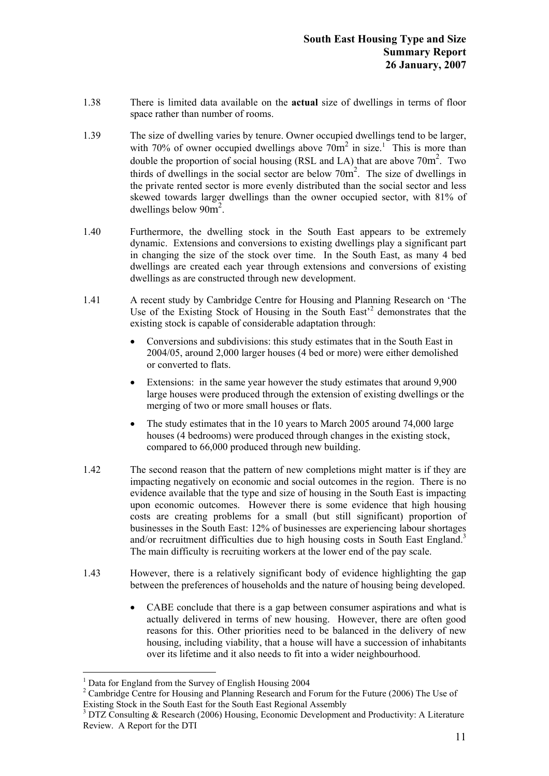- 1.38 There is limited data available on the **actual** size of dwellings in terms of floor space rather than number of rooms.
- 1.39 The size of dwelling varies by tenure. Owner occupied dwellings tend to be larger, with 70% of owner occupied dwellings above  $70m^2$  in size.<sup>1</sup> This is more than double the proportion of social housing (RSL and LA) that are above  $70m^2$ . Two thirds of dwellings in the social sector are below  $70m^2$ . The size of dwellings in the private rented sector is more evenly distributed than the social sector and less skewed towards larger dwellings than the owner occupied sector, with 81% of dwellings below  $90m^2$ .
- 1.40 Furthermore, the dwelling stock in the South East appears to be extremely dynamic. Extensions and conversions to existing dwellings play a significant part in changing the size of the stock over time. In the South East, as many 4 bed dwellings are created each year through extensions and conversions of existing dwellings as are constructed through new development.
- 1.41 A recent study by Cambridge Centre for Housing and Planning Research on 'The Use of the Existing Stock of Housing in the South East<sup>22</sup> demonstrates that the existing stock is capable of considerable adaptation through:
	- Conversions and subdivisions: this study estimates that in the South East in 2004/05, around 2,000 larger houses (4 bed or more) were either demolished or converted to flats.
	- Extensions: in the same year however the study estimates that around 9,900 large houses were produced through the extension of existing dwellings or the merging of two or more small houses or flats.
	- The study estimates that in the 10 years to March 2005 around 74,000 large houses (4 bedrooms) were produced through changes in the existing stock, compared to 66,000 produced through new building.
- 1.42 The second reason that the pattern of new completions might matter is if they are impacting negatively on economic and social outcomes in the region. There is no evidence available that the type and size of housing in the South East is impacting upon economic outcomes. However there is some evidence that high housing costs are creating problems for a small (but still significant) proportion of businesses in the South East: 12% of businesses are experiencing labour shortages and/or recruitment difficulties due to high housing costs in South East England.<sup>3</sup> The main difficulty is recruiting workers at the lower end of the pay scale.
- 1.43 However, there is a relatively significant body of evidence highlighting the gap between the preferences of households and the nature of housing being developed.
	- CABE conclude that there is a gap between consumer aspirations and what is actually delivered in terms of new housing. However, there are often good reasons for this. Other priorities need to be balanced in the delivery of new housing, including viability, that a house will have a succession of inhabitants over its lifetime and it also needs to fit into a wider neighbourhood.

 $\overline{a}$ 

<sup>&</sup>lt;sup>1</sup> Data for England from the Survey of English Housing 2004

<sup>&</sup>lt;sup>2</sup> Cambridge Centre for Housing and Planning Research and Forum for the Future (2006) The Use of Existing Stock in the South East for the South East Regional Assembly

<sup>&</sup>lt;sup>3</sup> DTZ Consulting & Research (2006) Housing, Economic Development and Productivity: A Literature Review. A Report for the DTI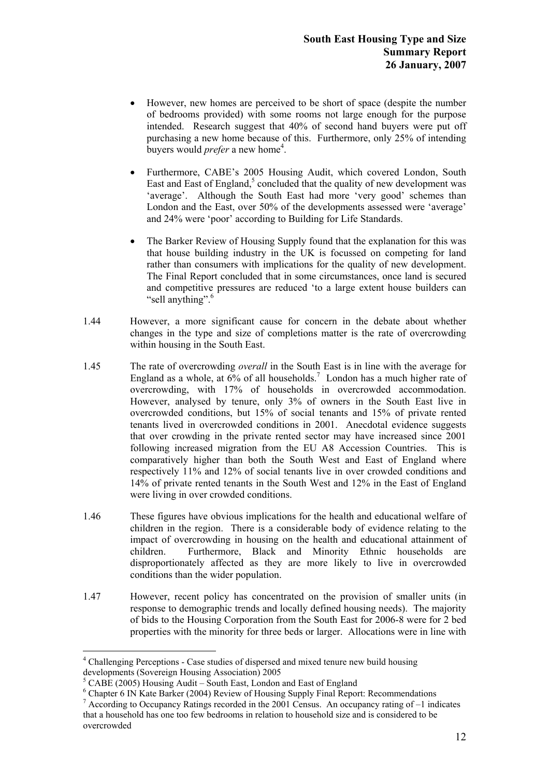- However, new homes are perceived to be short of space (despite the number of bedrooms provided) with some rooms not large enough for the purpose intended. Research suggest that 40% of second hand buyers were put off purchasing a new home because of this. Furthermore, only 25% of intending buyers would *prefer* a new home<sup>4</sup>.
- Furthermore, CABE's 2005 Housing Audit, which covered London, South East and East of England,<sup>5</sup> concluded that the quality of new development was 'average'. Although the South East had more 'very good' schemes than London and the East, over 50% of the developments assessed were 'average' and 24% were 'poor' according to Building for Life Standards.
- The Barker Review of Housing Supply found that the explanation for this was that house building industry in the UK is focussed on competing for land rather than consumers with implications for the quality of new development. The Final Report concluded that in some circumstances, once land is secured and competitive pressures are reduced 'to a large extent house builders can "sell anything".<sup>6</sup>
- 1.44 However, a more significant cause for concern in the debate about whether changes in the type and size of completions matter is the rate of overcrowding within housing in the South East.
- 1.45 The rate of overcrowding *overall* in the South East is in line with the average for England as a whole, at  $6\%$  of all households.<sup>7</sup> London has a much higher rate of overcrowding, with 17% of households in overcrowded accommodation. However, analysed by tenure, only 3% of owners in the South East live in overcrowded conditions, but 15% of social tenants and 15% of private rented tenants lived in overcrowded conditions in 2001. Anecdotal evidence suggests that over crowding in the private rented sector may have increased since 2001 following increased migration from the EU A8 Accession Countries. This is comparatively higher than both the South West and East of England where respectively 11% and 12% of social tenants live in over crowded conditions and 14% of private rented tenants in the South West and 12% in the East of England were living in over crowded conditions.
- 1.46 These figures have obvious implications for the health and educational welfare of children in the region. There is a considerable body of evidence relating to the impact of overcrowding in housing on the health and educational attainment of children. Furthermore, Black and Minority Ethnic households are disproportionately affected as they are more likely to live in overcrowded conditions than the wider population.
- 1.47 However, recent policy has concentrated on the provision of smaller units (in response to demographic trends and locally defined housing needs). The majority of bids to the Housing Corporation from the South East for 2006-8 were for 2 bed properties with the minority for three beds or larger. Allocations were in line with

 $\overline{a}$ 

<sup>&</sup>lt;sup>4</sup> Challenging Perceptions - Case studies of dispersed and mixed tenure new build housing developments (Sovereign Housing Association) 2005

 $<sup>5</sup>$  CABE (2005) Housing Audit – South East, London and East of England</sup>

<sup>&</sup>lt;sup>6</sup> Chapter 6 IN Kate Barker (2004) Review of Housing Supply Final Report: Recommendations

 $7$  According to Occupancy Ratings recorded in the 2001 Census. An occupancy rating of  $-1$  indicates that a household has one too few bedrooms in relation to household size and is considered to be overcrowded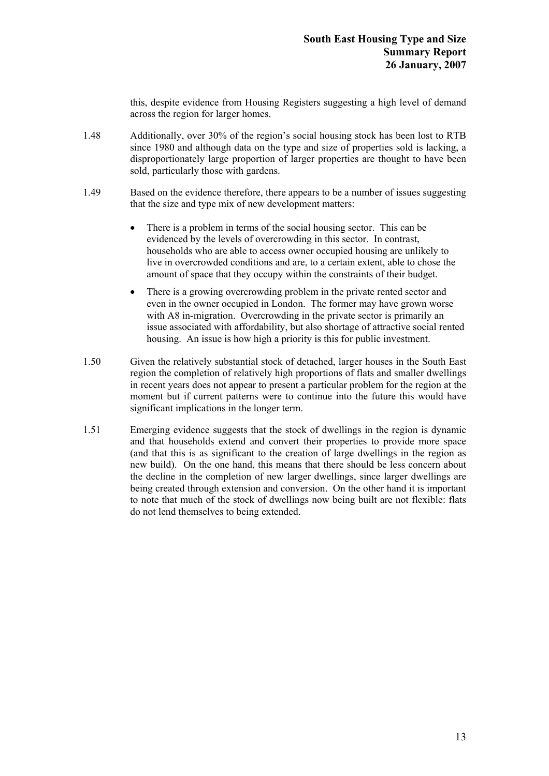this, despite evidence from Housing Registers suggesting a high level of demand across the region for larger homes.

- 1.48 Additionally, over 30% of the region's social housing stock has been lost to RTB since 1980 and although data on the type and size of properties sold is lacking, a disproportionately large proportion of larger properties are thought to have been sold, particularly those with gardens.
- 1.49 Based on the evidence therefore, there appears to be a number of issues suggesting that the size and type mix of new development matters:
	- There is a problem in terms of the social housing sector. This can be evidenced by the levels of overcrowding in this sector. In contrast, households who are able to access owner occupied housing are unlikely to live in overcrowded conditions and are, to a certain extent, able to chose the amount of space that they occupy within the constraints of their budget.
	- There is a growing overcrowding problem in the private rented sector and even in the owner occupied in London. The former may have grown worse with A8 in-migration. Overcrowding in the private sector is primarily an issue associated with affordability, but also shortage of attractive social rented housing. An issue is how high a priority is this for public investment.
- 1.50 Given the relatively substantial stock of detached, larger houses in the South East region the completion of relatively high proportions of flats and smaller dwellings in recent years does not appear to present a particular problem for the region at the moment but if current patterns were to continue into the future this would have significant implications in the longer term.
- 1.51 Emerging evidence suggests that the stock of dwellings in the region is dynamic and that households extend and convert their properties to provide more space (and that this is as significant to the creation of large dwellings in the region as new build). On the one hand, this means that there should be less concern about the decline in the completion of new larger dwellings, since larger dwellings are being created through extension and conversion. On the other hand it is important to note that much of the stock of dwellings now being built are not flexible: flats do not lend themselves to being extended.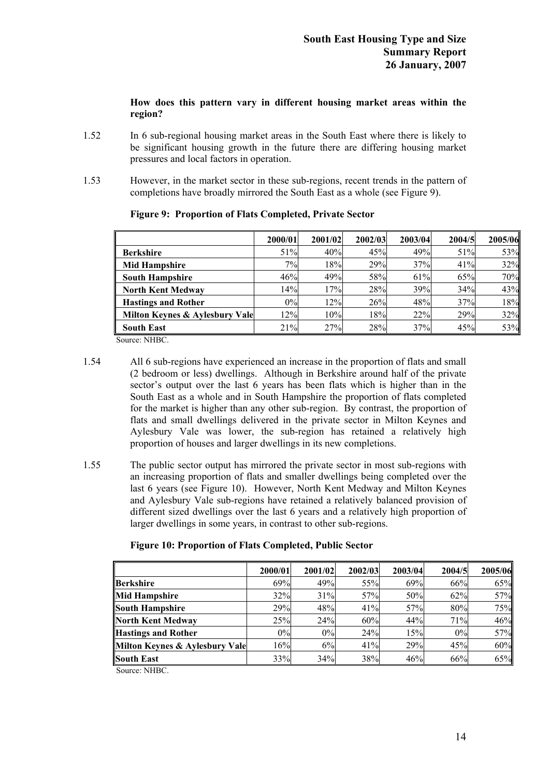# **How does this pattern vary in different housing market areas within the region?**

- 1.52 In 6 sub-regional housing market areas in the South East where there is likely to be significant housing growth in the future there are differing housing market pressures and local factors in operation.
- 1.53 However, in the market sector in these sub-regions, recent trends in the pattern of completions have broadly mirrored the South East as a whole (see Figure 9).

|                                | 2000/01 | 2001/02 | 2002/03 | 2003/04 | 2004/5 | 2005/06 |
|--------------------------------|---------|---------|---------|---------|--------|---------|
| <b>Berkshire</b>               | 51%     | 40%     | 45%     | 49%     | 51%    | 53%     |
| <b>Mid Hampshire</b>           | $7\%$   | 18%     | 29%     | 37%     | 41%    | 32%     |
| <b>South Hampshire</b>         | 46%     | 49%     | 58%     | 61%     | 65%    | 70%     |
| <b>North Kent Medway</b>       | 14%     | 17%     | 28%     | 39%     | 34%    | 43%     |
| <b>Hastings and Rother</b>     | 0%      | 12%     | 26%     | 48%     | 37%    | 18%     |
| Milton Keynes & Aylesbury Vale | 12%     | 10%     | 18%     | 22%     | 29%    | 32%     |
| <b>South East</b>              | 21%     | 27%     | 28%     | 37%     | 45%    | 53%     |

# **Figure 9: Proportion of Flats Completed, Private Sector**

Source: NHBC.

- 1.54 All 6 sub-regions have experienced an increase in the proportion of flats and small (2 bedroom or less) dwellings. Although in Berkshire around half of the private sector's output over the last 6 years has been flats which is higher than in the South East as a whole and in South Hampshire the proportion of flats completed for the market is higher than any other sub-region. By contrast, the proportion of flats and small dwellings delivered in the private sector in Milton Keynes and Aylesbury Vale was lower, the sub-region has retained a relatively high proportion of houses and larger dwellings in its new completions.
- 1.55 The public sector output has mirrored the private sector in most sub-regions with an increasing proportion of flats and smaller dwellings being completed over the last 6 years (see Figure 10). However, North Kent Medway and Milton Keynes and Aylesbury Vale sub-regions have retained a relatively balanced provision of different sized dwellings over the last 6 years and a relatively high proportion of larger dwellings in some years, in contrast to other sub-regions.

|                                | 2000/01 | 2001/02 | 2002/03 | 2003/04 | 2004/5 | 2005/06 |
|--------------------------------|---------|---------|---------|---------|--------|---------|
| <b>Berkshire</b>               | 69%     | 49%     | 55%     | 69%     | 66%    | 65%     |
| <b>Mid Hampshire</b>           | 32%     | 31%     | 57%     | 50%     | 62%    | 57%     |
| South Hampshire                | 29%     | 48%     | 41%     | 57%     | 80%    | 75%     |
| North Kent Medway              | 25%     | 24%     | 60%     | 44%     | 71%    | 46%     |
| Hastings and Rother            | 0%      | 0%      | 24%     | 15%     | 0%     | 57%     |
| Milton Keynes & Aylesbury Vale | 16%     | 6%      | 41%     | 29%     | 45%    | 60%     |
| <b>South East</b>              | 33%     | 34%     | 38%     | 46%     | 66%    | 65%     |

# **Figure 10: Proportion of Flats Completed, Public Sector**

Source: NHBC.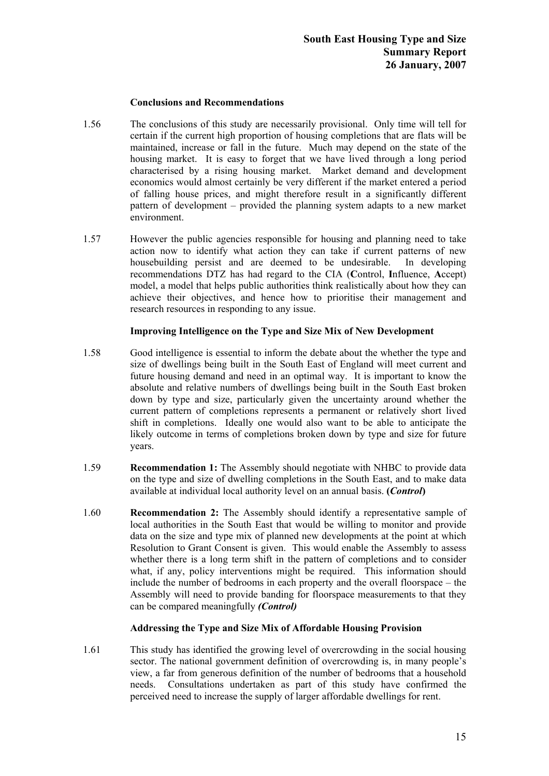# **Conclusions and Recommendations**

- 1.56 The conclusions of this study are necessarily provisional. Only time will tell for certain if the current high proportion of housing completions that are flats will be maintained, increase or fall in the future. Much may depend on the state of the housing market. It is easy to forget that we have lived through a long period characterised by a rising housing market. Market demand and development economics would almost certainly be very different if the market entered a period of falling house prices, and might therefore result in a significantly different pattern of development – provided the planning system adapts to a new market environment.
- 1.57 However the public agencies responsible for housing and planning need to take action now to identify what action they can take if current patterns of new housebuilding persist and are deemed to be undesirable. In developing recommendations DTZ has had regard to the CIA (**C**ontrol, **I**nfluence, **A**ccept) model, a model that helps public authorities think realistically about how they can achieve their objectives, and hence how to prioritise their management and research resources in responding to any issue.

# **Improving Intelligence on the Type and Size Mix of New Development**

- 1.58 Good intelligence is essential to inform the debate about the whether the type and size of dwellings being built in the South East of England will meet current and future housing demand and need in an optimal way. It is important to know the absolute and relative numbers of dwellings being built in the South East broken down by type and size, particularly given the uncertainty around whether the current pattern of completions represents a permanent or relatively short lived shift in completions. Ideally one would also want to be able to anticipate the likely outcome in terms of completions broken down by type and size for future years.
- 1.59 **Recommendation 1:** The Assembly should negotiate with NHBC to provide data on the type and size of dwelling completions in the South East, and to make data available at individual local authority level on an annual basis. **(***Control***)**
- 1.60 **Recommendation 2:** The Assembly should identify a representative sample of local authorities in the South East that would be willing to monitor and provide data on the size and type mix of planned new developments at the point at which Resolution to Grant Consent is given. This would enable the Assembly to assess whether there is a long term shift in the pattern of completions and to consider what, if any, policy interventions might be required. This information should include the number of bedrooms in each property and the overall floorspace – the Assembly will need to provide banding for floorspace measurements to that they can be compared meaningfully *(Control)*

# **Addressing the Type and Size Mix of Affordable Housing Provision**

1.61 This study has identified the growing level of overcrowding in the social housing sector. The national government definition of overcrowding is, in many people's view, a far from generous definition of the number of bedrooms that a household needs. Consultations undertaken as part of this study have confirmed the perceived need to increase the supply of larger affordable dwellings for rent.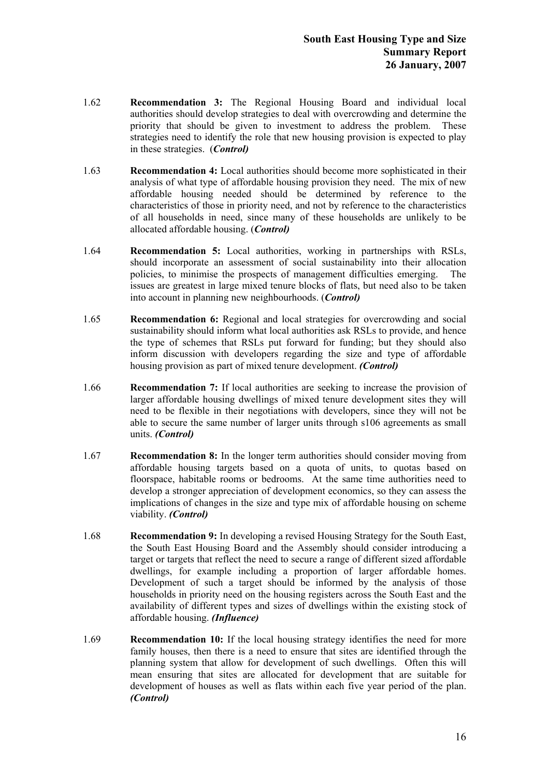- 1.62 **Recommendation 3:** The Regional Housing Board and individual local authorities should develop strategies to deal with overcrowding and determine the priority that should be given to investment to address the problem. These strategies need to identify the role that new housing provision is expected to play in these strategies. (*Control)*
- 1.63 **Recommendation 4:** Local authorities should become more sophisticated in their analysis of what type of affordable housing provision they need. The mix of new affordable housing needed should be determined by reference to the characteristics of those in priority need, and not by reference to the characteristics of all households in need, since many of these households are unlikely to be allocated affordable housing. (*Control)*
- 1.64 **Recommendation 5:** Local authorities, working in partnerships with RSLs, should incorporate an assessment of social sustainability into their allocation policies, to minimise the prospects of management difficulties emerging. The issues are greatest in large mixed tenure blocks of flats, but need also to be taken into account in planning new neighbourhoods. (*Control)*
- 1.65 **Recommendation 6:** Regional and local strategies for overcrowding and social sustainability should inform what local authorities ask RSLs to provide, and hence the type of schemes that RSLs put forward for funding; but they should also inform discussion with developers regarding the size and type of affordable housing provision as part of mixed tenure development. *(Control)*
- 1.66 **Recommendation 7:** If local authorities are seeking to increase the provision of larger affordable housing dwellings of mixed tenure development sites they will need to be flexible in their negotiations with developers, since they will not be able to secure the same number of larger units through s106 agreements as small units. *(Control)*
- 1.67 **Recommendation 8:** In the longer term authorities should consider moving from affordable housing targets based on a quota of units, to quotas based on floorspace, habitable rooms or bedrooms. At the same time authorities need to develop a stronger appreciation of development economics, so they can assess the implications of changes in the size and type mix of affordable housing on scheme viability. *(Control)*
- 1.68 **Recommendation 9:** In developing a revised Housing Strategy for the South East, the South East Housing Board and the Assembly should consider introducing a target or targets that reflect the need to secure a range of different sized affordable dwellings, for example including a proportion of larger affordable homes. Development of such a target should be informed by the analysis of those households in priority need on the housing registers across the South East and the availability of different types and sizes of dwellings within the existing stock of affordable housing. *(Influence)*
- 1.69 **Recommendation 10:** If the local housing strategy identifies the need for more family houses, then there is a need to ensure that sites are identified through the planning system that allow for development of such dwellings. Often this will mean ensuring that sites are allocated for development that are suitable for development of houses as well as flats within each five year period of the plan. *(Control)*